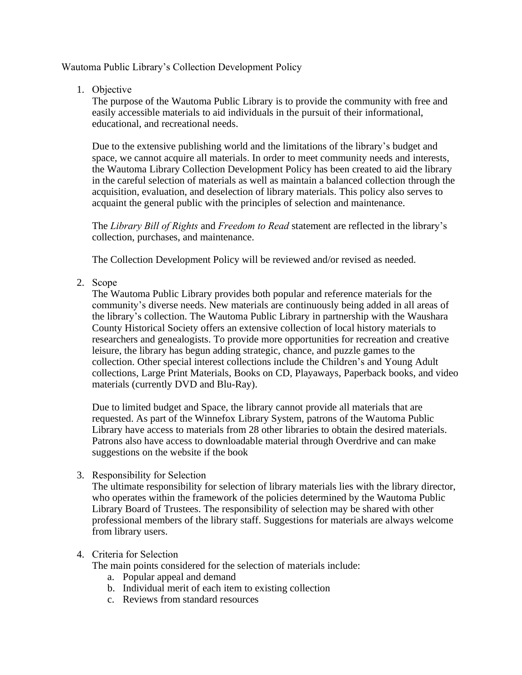## Wautoma Public Library's Collection Development Policy

1. Objective

The purpose of the Wautoma Public Library is to provide the community with free and easily accessible materials to aid individuals in the pursuit of their informational, educational, and recreational needs.

Due to the extensive publishing world and the limitations of the library's budget and space, we cannot acquire all materials. In order to meet community needs and interests, the Wautoma Library Collection Development Policy has been created to aid the library in the careful selection of materials as well as maintain a balanced collection through the acquisition, evaluation, and deselection of library materials. This policy also serves to acquaint the general public with the principles of selection and maintenance.

The *Library Bill of Rights* and *Freedom to Read* statement are reflected in the library's collection, purchases, and maintenance.

The Collection Development Policy will be reviewed and/or revised as needed.

2. Scope

The Wautoma Public Library provides both popular and reference materials for the community's diverse needs. New materials are continuously being added in all areas of the library's collection. The Wautoma Public Library in partnership with the Waushara County Historical Society offers an extensive collection of local history materials to researchers and genealogists. To provide more opportunities for recreation and creative leisure, the library has begun adding strategic, chance, and puzzle games to the collection. Other special interest collections include the Children's and Young Adult collections, Large Print Materials, Books on CD, Playaways, Paperback books, and video materials (currently DVD and Blu-Ray).

Due to limited budget and Space, the library cannot provide all materials that are requested. As part of the Winnefox Library System, patrons of the Wautoma Public Library have access to materials from 28 other libraries to obtain the desired materials. Patrons also have access to downloadable material through Overdrive and can make suggestions on the website if the book

3. Responsibility for Selection

The ultimate responsibility for selection of library materials lies with the library director, who operates within the framework of the policies determined by the Wautoma Public Library Board of Trustees. The responsibility of selection may be shared with other professional members of the library staff. Suggestions for materials are always welcome from library users.

## 4. Criteria for Selection

The main points considered for the selection of materials include:

- a. Popular appeal and demand
- b. Individual merit of each item to existing collection
- c. Reviews from standard resources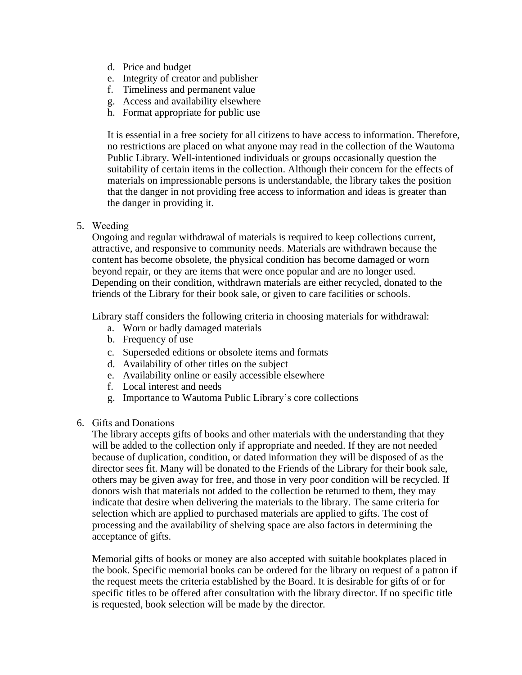- d. Price and budget
- e. Integrity of creator and publisher
- f. Timeliness and permanent value
- g. Access and availability elsewhere
- h. Format appropriate for public use

It is essential in a free society for all citizens to have access to information. Therefore, no restrictions are placed on what anyone may read in the collection of the Wautoma Public Library. Well-intentioned individuals or groups occasionally question the suitability of certain items in the collection. Although their concern for the effects of materials on impressionable persons is understandable, the library takes the position that the danger in not providing free access to information and ideas is greater than the danger in providing it.

5. Weeding

Ongoing and regular withdrawal of materials is required to keep collections current, attractive, and responsive to community needs. Materials are withdrawn because the content has become obsolete, the physical condition has become damaged or worn beyond repair, or they are items that were once popular and are no longer used. Depending on their condition, withdrawn materials are either recycled, donated to the friends of the Library for their book sale, or given to care facilities or schools.

Library staff considers the following criteria in choosing materials for withdrawal:

- a. Worn or badly damaged materials
- b. Frequency of use
- c. Superseded editions or obsolete items and formats
- d. Availability of other titles on the subject
- e. Availability online or easily accessible elsewhere
- f. Local interest and needs
- g. Importance to Wautoma Public Library's core collections
- 6. Gifts and Donations

The library accepts gifts of books and other materials with the understanding that they will be added to the collection only if appropriate and needed. If they are not needed because of duplication, condition, or dated information they will be disposed of as the director sees fit. Many will be donated to the Friends of the Library for their book sale, others may be given away for free, and those in very poor condition will be recycled. If donors wish that materials not added to the collection be returned to them, they may indicate that desire when delivering the materials to the library. The same criteria for selection which are applied to purchased materials are applied to gifts. The cost of processing and the availability of shelving space are also factors in determining the acceptance of gifts.

Memorial gifts of books or money are also accepted with suitable bookplates placed in the book. Specific memorial books can be ordered for the library on request of a patron if the request meets the criteria established by the Board. It is desirable for gifts of or for specific titles to be offered after consultation with the library director. If no specific title is requested, book selection will be made by the director.